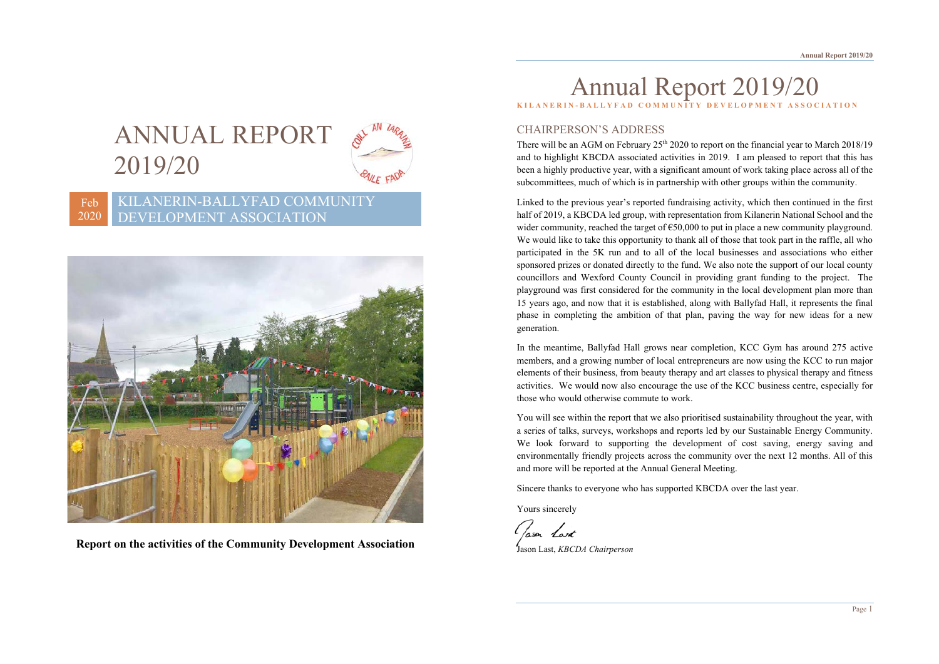# ANNUAL REPORT 2019/20



#### Feb 2020 KILANERIN-BALLYFAD COMMUNITY DEVELOPMENT ASSOCIATION



**Report on the activities of the Community Development Association**

# Annual Report 2019/20 **KILANERIN - BALLYFAD COMMUNITY DEVELOPMENT ASSOCIATION**

# CHAIRPERSON'S ADDRESS

There will be an AGM on February  $25<sup>th</sup> 2020$  to report on the financial year to March 2018/19 and to highlight KBCDA associated activities in 2019. I am pleased to report that this has been a highly productive year, with a significant amount of work taking place across all of the subcommittees, much of which is in partnership with other groups within the community.

Linked to the previous year's reported fundraising activity, which then continued in the first half of 2019, a KBCDA led group, with representation from Kilanerin National School and the wider community, reached the target of  $\epsilon$ 50,000 to put in place a new community playground. We would like to take this opportunity to thank all of those that took part in the raffle, all who participated in the 5K run and to all of the local businesses and associations who either sponsored prizes or donated directly to the fund. We also note the support of our local county councillors and Wexford County Council in providing grant funding to the project. The playground was first considered for the community in the local development plan more than 15 years ago, and now that it is established, along with Ballyfad Hall, it represents the final phase in completing the ambition of that plan, paving the way for new ideas for a new generation.

In the meantime, Ballyfad Hall grows near completion, KCC Gym has around 275 active members, and a growing number of local entrepreneurs are now using the KCC to run major elements of their business, from beauty therapy and art classes to physical therapy and fitness activities. We would now also encourage the use of the KCC business centre, especially for those who would otherwise commute to work.

You will see within the report that we also prioritised sustainability throughout the year, with a series of talks, surveys, workshops and reports led by our Sustainable Energy Community. We look forward to supporting the development of cost saving, energy saving and environmentally friendly projects across the community over the next 12 months. All of this and more will be reported at the Annual General Meeting.

Sincere thanks to everyone who has supported KBCDA over the last year.

Yours sincerely

Classen Land

Jason Last, *KBCDA Chairperson*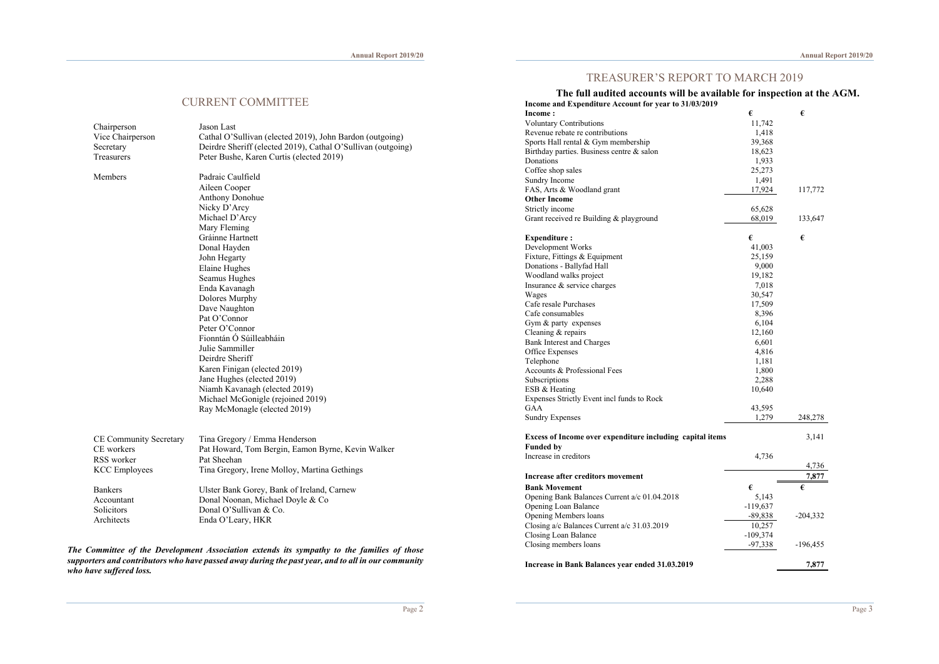# TREASURER'S REPORT TO MARCH 2019

| The full audited accounts will be available for inspection at the AGM. |  |
|------------------------------------------------------------------------|--|
| Income and Expenditure Account for year to 31/03/2019                  |  |

|                               | <b>CURRENT COMMITTEE</b>                                        | пис тан аданса ассоциез мні юс атанамістог нізрессион ас енс<br>Income and Expenditure Account for year to 31/03/2019 |            |            |
|-------------------------------|-----------------------------------------------------------------|-----------------------------------------------------------------------------------------------------------------------|------------|------------|
|                               |                                                                 | Income:                                                                                                               | €          | €          |
|                               |                                                                 | <b>Voluntary Contributions</b>                                                                                        | 11,742     |            |
| Chairperson                   | Jason Last                                                      | Revenue rebate re contributions                                                                                       | 1,418      |            |
| Vice Chairperson              | Cathal O'Sullivan (elected 2019), John Bardon (outgoing)        | Sports Hall rental & Gym membership                                                                                   | 39,368     |            |
| Secretary                     | Deirdre Sheriff (elected 2019), Cathal O'Sullivan (outgoing)    | Birthday parties. Business centre & salon                                                                             | 18,623     |            |
| Treasurers                    | Peter Bushe, Karen Curtis (elected 2019)                        | Donations                                                                                                             | 1,933      |            |
|                               |                                                                 | Coffee shop sales                                                                                                     | 25,273     |            |
| Members                       | Padraic Caulfield                                               | Sundry Income                                                                                                         | 1,491      |            |
|                               | Aileen Cooper                                                   | FAS, Arts & Woodland grant                                                                                            | 17,924     | 117,772    |
|                               | Anthony Donohue                                                 | <b>Other Income</b>                                                                                                   |            |            |
|                               | Nicky D'Arcy                                                    |                                                                                                                       |            |            |
|                               | Michael D'Arcy                                                  | Strictly income                                                                                                       | 65,628     |            |
|                               |                                                                 | Grant received re Building & playground                                                                               | 68,019     | 133,647    |
|                               | Mary Fleming                                                    |                                                                                                                       |            |            |
|                               | Gráinne Hartnett                                                | <b>Expenditure:</b>                                                                                                   | €          | €          |
|                               | Donal Hayden                                                    | Development Works                                                                                                     | 41,003     |            |
|                               | John Hegarty                                                    | Fixture, Fittings & Equipment                                                                                         | 25,159     |            |
|                               | Elaine Hughes                                                   | Donations - Ballyfad Hall                                                                                             | 9,000      |            |
|                               | Seamus Hughes                                                   | Woodland walks project                                                                                                | 19,182     |            |
|                               | Enda Kavanagh                                                   | Insurance & service charges                                                                                           | 7,018      |            |
|                               | Dolores Murphy                                                  | Wages                                                                                                                 | 30,547     |            |
|                               | Dave Naughton                                                   | Cafe resale Purchases                                                                                                 | 17,509     |            |
|                               | Pat O'Connor                                                    | Cafe consumables                                                                                                      | 8,396      |            |
|                               | Peter O'Connor                                                  | Gym & party expenses                                                                                                  | 6,104      |            |
|                               | Fionntán Ó Súilleabháin                                         | Cleaning & repairs                                                                                                    | 12,160     |            |
|                               | Julie Sammiller                                                 | <b>Bank Interest and Charges</b>                                                                                      | 6,601      |            |
|                               |                                                                 | Office Expenses                                                                                                       | 4,816      |            |
|                               | Deirdre Sheriff                                                 | Telephone                                                                                                             | 1,181      |            |
|                               | Karen Finigan (elected 2019)                                    | Accounts & Professional Fees                                                                                          | 1,800      |            |
|                               | Jane Hughes (elected 2019)                                      | Subscriptions                                                                                                         | 2,288      |            |
|                               | Niamh Kavanagh (elected 2019)                                   | ESB & Heating                                                                                                         | 10,640     |            |
|                               | Michael McGonigle (rejoined 2019)                               | Expenses Strictly Event incl funds to Rock                                                                            |            |            |
|                               | Ray McMonagle (elected 2019)                                    | GAA                                                                                                                   | 43,595     |            |
|                               |                                                                 | <b>Sundry Expenses</b>                                                                                                | 1,279      | 248,278    |
| <b>CE Community Secretary</b> | Tina Gregory / Emma Henderson                                   | Excess of Income over expenditure including capital items                                                             |            | 3,141      |
| CE workers                    | Pat Howard, Tom Bergin, Eamon Byrne, Kevin Walker               | <b>Funded by</b>                                                                                                      |            |            |
| RSS worker                    | Pat Sheehan                                                     | Increase in creditors                                                                                                 | 4,736      |            |
| <b>KCC</b> Employees          | Tina Gregory, Irene Molloy, Martina Gethings                    |                                                                                                                       |            | 4,736      |
|                               |                                                                 | <b>Increase after creditors movement</b>                                                                              |            | 7,877      |
| Bankers                       | Ulster Bank Gorey, Bank of Ireland, Carnew                      | <b>Bank Movement</b>                                                                                                  | €          | €          |
| Accountant                    | Donal Noonan, Michael Doyle & Co                                | Opening Bank Balances Current a/c 01.04.2018                                                                          | 5,143      |            |
| Solicitors                    | Donal O'Sullivan & Co.                                          | Opening Loan Balance                                                                                                  | $-119,637$ |            |
| Architects                    | Enda O'Leary, HKR                                               | Opening Members loans                                                                                                 | $-89,838$  | $-204,332$ |
|                               |                                                                 | Closing a/c Balances Current a/c 31.03.2019                                                                           | 10,257     |            |
|                               |                                                                 | Closing Loan Balance                                                                                                  | $-109,374$ |            |
| $c \cdot r$ n $r$             | $\mathbf{a}$ and $\mathbf{a}$ and $\mathbf{a}$ and $\mathbf{a}$ | Closing members loans                                                                                                 | $-97,338$  | $-196,455$ |

*The Committee of the Development Association extends its sympathy to the families of those supporters and contributors who have passed away during the past year, and to all in our community who have suffered loss.* 

# **Increase in Bank Balances year ended 31.03.2019 7,877**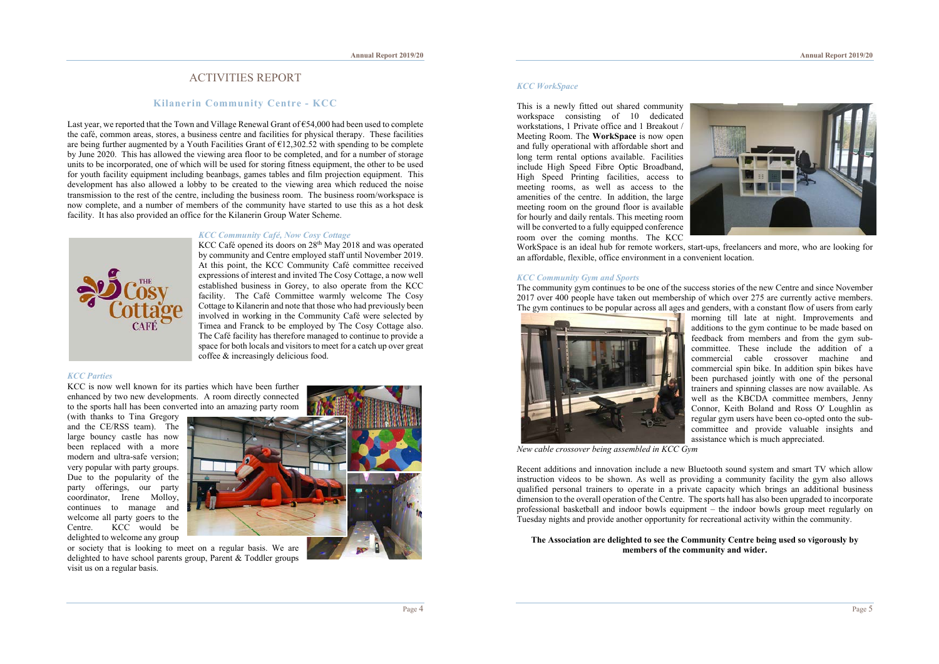# ACTIVITIES REPORT

# **Kilanerin Community Centre - KCC**

Last year, we reported that the Town and Village Renewal Grant of  $\epsilon$ 54,000 had been used to complete the café, common areas, stores, a business centre and facilities for physical therapy. These facilities are being further augmented by a Youth Facilities Grant of  $\epsilon$ 12,302.52 with spending to be complete by June 2020. This has allowed the viewing area floor to be completed, and for a number of storage units to be incorporated, one of which will be used for storing fitness equipment, the other to be used for youth facility equipment including beanbags, games tables and film projection equipment. This development has also allowed a lobby to be created to the viewing area which reduced the noise transmission to the rest of the centre, including the business room. The business room/workspace is now complete, and a number of members of the community have started to use this as a hot desk facility. It has also provided an office for the Kilanerin Group Water Scheme.



### *KCC Community Café, Now Cosy Cottage*

KCC Café opened its doors on 28<sup>th</sup> May 2018 and was operated by community and Centre employed staff until November 2019. At this point, the KCC Community Café committee received expressions of interest and invited The Cosy Cottage, a now well established business in Gorey, to also operate from the KCC facility. The Café Committee warmly welcome The Cosy Cottage to Kilanerin and note that those who had previously been involved in working in the Community Café were selected by Timea and Franck to be employed by The Cosy Cottage also. The Café facility has therefore managed to continue to provide a space for both locals and visitors to meet for a catch up over great coffee & increasingly delicious food.

#### *KCC Parties*

KCC is now well known for its parties which have been further enhanced by two new developments. A room directly connected to the sports hall has been converted into an amazing party room

(with thanks to Tina Gregory and the CE/RSS team). The large bouncy castle has now been replaced with a more modern and ultra-safe version; very popular with party groups. Due to the popularity of the party offerings, our party coordinator, Irene Molloy, continues to manage and welcome all party goers to the Centre. KCC would be delighted to welcome any group



or society that is looking to meet on a regular basis. We are delighted to have school parents group, Parent & Toddler groups visit us on a regular basis.

# *KCC WorkSpace*

This is a newly fitted out shared community workspace consisting of 10 dedicated workstations, 1 Private office and 1 Breakout / Meeting Room. The **WorkSpace** is now open and fully operational with affordable short and long term rental options available. Facilities include High Speed Fibre Optic Broadband, High Speed Printing facilities, access to meeting rooms, as well as access to the amenities of the centre. In addition, the large meeting room on the ground floor is available for hourly and daily rentals. This meeting room will be converted to a fully equipped conference room over the coming months. The KCC



WorkSpace is an ideal hub for remote workers, start-ups, freelancers and more, who are looking for an affordable, flexible, office environment in a convenient location.

#### *KCC Community Gym and Sports*

The community gym continues to be one of the success stories of the new Centre and since November 2017 over 400 people have taken out membership of which over 275 are currently active members. The gym continues to be popular across all ages and genders, with a constant flow of users from early



morning till late at night. Improvements and additions to the gym continue to be made based on feedback from members and from the gym subcommittee. These include the addition of a commercial cable crossover machine and commercial spin bike. In addition spin bikes have been purchased jointly with one of the personal trainers and spinning classes are now available. As well as the KBCDA committee members, Jenny Connor, Keith Boland and Ross O' Loughlin as regular gym users have been co-opted onto the subcommittee and provide valuable insights and assistance which is much appreciated.

*New cable crossover being assembled in KCC Gym*

Recent additions and innovation include a new Bluetooth sound system and smart TV which allow instruction videos to be shown. As well as providing a community facility the gym also allows qualified personal trainers to operate in a private capacity which brings an additional business dimension to the overall operation of the Centre. The sports hall has also been upgraded to incorporate professional basketball and indoor bowls equipment – the indoor bowls group meet regularly on Tuesday nights and provide another opportunity for recreational activity within the community.

#### **The Association are delighted to see the Community Centre being used so vigorously by members of the community and wider.**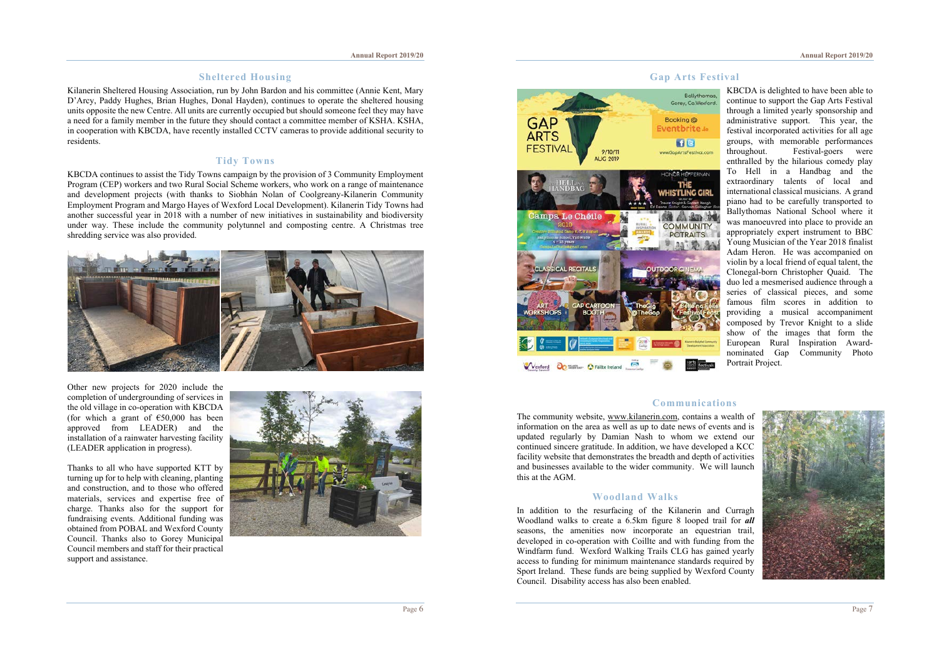# **Sheltered Housing**

Kilanerin Sheltered Housing Association, run by John Bardon and his committee (Annie Kent, Mary D'Arcy, Paddy Hughes, Brian Hughes, Donal Hayden), continues to operate the sheltered housing units opposite the new Centre. All units are currently occupied but should someone feel they may have a need for a family member in the future they should contact a committee member of KSHA. KSHA, in cooperation with KBCDA, have recently installed CCTV cameras to provide additional security to residents.

### **Tidy Towns**

KBCDA continues to assist the Tidy Towns campaign by the provision of 3 Community Employment Program (CEP) workers and two Rural Social Scheme workers, who work on a range of maintenance and development projects (with thanks to Siobhán Nolan of Coolgreany-Kilanerin Community Employment Program and Margo Hayes of Wexford Local Development). Kilanerin Tidy Towns had another successful year in 2018 with a number of new initiatives in sustainability and biodiversity under way. These include the community polytunnel and composting centre. A Christmas tree shredding service was also provided.



Other new projects for 2020 include the completion of undergrounding of services in the old village in co-operation with KBCDA (for which a grant of  $€50,000$  has been approved from LEADER) and the installation of a rainwater harvesting facility (LEADER application in progress).

Thanks to all who have supported KTT by turning up for to help with cleaning, planting and construction, and to those who offered materials, services and expertise free of charge. Thanks also for the support for fundraising events. Additional funding was obtained from POBAL and Wexford County Council. Thanks also to Gorey Municipal Council members and staff for their practical support and assistance.





KBCDA is delighted to have been able to continue to support the Gap Arts Festival through a limited yearly sponsorship and administrative support. This year, the festival incorporated activities for all age groups, with memorable performances<br>throughout. Festival-goers were Festival-goers were enthralled by the hilarious comedy play To Hell in a Handbag and the extraordinary talents of local and international classical musicians. A grand piano had to be carefully transported to Ballythomas National School where it was manoeuvred into place to provide an appropriately expert instrument to BBC Young Musician of the Year 2018 finalist Adam Heron. He was accompanied on violin by a local friend of equal talent, the Clonegal-born Christopher Quaid. The duo led a mesmerised audience through a series of classical pieces, and some famous film scores in addition to providing a musical accompaniment composed by Trevor Knight to a slide show of the images that form the European Rural Inspiration Awardnominated Gap Community Photo Portrait Project.

# **Communications**

The community website, www.kilanerin.com, contains a wealth of information on the area as well as up to date news of events and is updated regularly by Damian Nash to whom we extend our continued sincere gratitude. In addition, we have developed a KCC facility website that demonstrates the breadth and depth of activities and businesses available to the wider community. We will launch this at the AGM.

# **Woodland Walks**

In addition to the resurfacing of the Kilanerin and Curragh Woodland walks to create a 6.5km figure 8 looped trail for *all* seasons, the amenities now incorporate an equestrian trail, developed in co-operation with Coillte and with funding from the Windfarm fund. Wexford Walking Trails CLG has gained yearly access to funding for minimum maintenance standards required by Sport Ireland. These funds are being supplied by Wexford County Council. Disability access has also been enabled.

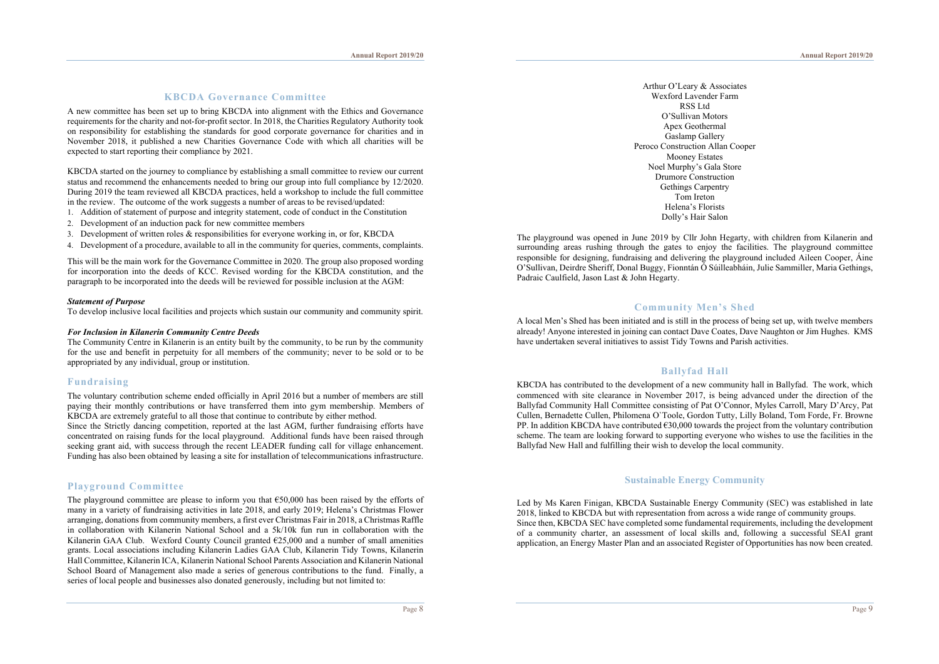# **KBCDA Governance Committee**

A new committee has been set up to bring KBCDA into alignment with the Ethics and Governance requirements for the charity and not-for-profit sector. In 2018, the Charities Regulatory Authority took on responsibility for establishing the standards for good corporate governance for charities and in November 2018, it published a new Charities Governance Code with which all charities will be expected to start reporting their compliance by 2021.

KBCDA started on the journey to compliance by establishing a small committee to review our current status and recommend the enhancements needed to bring our group into full compliance by 12/2020. During 2019 the team reviewed all KBCDA practices, held a workshop to include the full committee in the review. The outcome of the work suggests a number of areas to be revised/updated:

1. Addition of statement of purpose and integrity statement, code of conduct in the Constitution

- 2. Development of an induction pack for new committee members
- 3. Development of written roles & responsibilities for everyone working in, or for, KBCDA
- 4. Development of a procedure, available to all in the community for queries, comments, complaints.

This will be the main work for the Governance Committee in 2020. The group also proposed wording for incorporation into the deeds of KCC. Revised wording for the KBCDA constitution, and the paragraph to be incorporated into the deeds will be reviewed for possible inclusion at the AGM:

#### *Statement of Purpose*

To develop inclusive local facilities and projects which sustain our community and community spirit.

#### *For Inclusion in Kilanerin Community Centre Deeds*

The Community Centre in Kilanerin is an entity built by the community, to be run by the community for the use and benefit in perpetuity for all members of the community; never to be sold or to be appropriated by any individual, group or institution.

#### **Fundraising**

The voluntary contribution scheme ended officially in April 2016 but a number of members are still paying their monthly contributions or have transferred them into gym membership. Members of KBCDA are extremely grateful to all those that continue to contribute by either method. Since the Strictly dancing competition, reported at the last AGM, further fundraising efforts have concentrated on raising funds for the local playground. Additional funds have been raised through seeking grant aid, with success through the recent LEADER funding call for village enhancement. Funding has also been obtained by leasing a site for installation of telecommunications infrastructure.

# **Playground Committee**

The playground committee are please to inform you that €50,000 has been raised by the efforts of many in a variety of fundraising activities in late 2018, and early 2019; Helena's Christmas Flower arranging, donations from community members, a first ever Christmas Fair in 2018, a Christmas Raffle in collaboration with Kilanerin National School and a 5k/10k fun run in collaboration with the Kilanerin GAA Club. Wexford County Council granted  $\epsilon$ 25,000 and a number of small amenities grants. Local associations including Kilanerin Ladies GAA Club, Kilanerin Tidy Towns, Kilanerin Hall Committee, Kilanerin ICA, Kilanerin National School Parents Association and Kilanerin National School Board of Management also made a series of generous contributions to the fund. Finally, a series of local people and businesses also donated generously, including but not limited to:

Arthur O'Leary & Associates Wexford Lavender Farm RSS Ltd O'Sullivan Motors Apex Geothermal Gaslamp Gallery Peroco Construction Allan Cooper Mooney Estates Noel Murphy's Gala Store Drumore Construction Gethings Carpentry Tom Ireton Helena's Florists Dolly's Hair Salon

The playground was opened in June 2019 by Cllr John Hegarty, with children from Kilanerin and surrounding areas rushing through the gates to enjoy the facilities. The playground committee responsible for designing, fundraising and delivering the playground included Aileen Cooper, Áine O'Sullivan, Deirdre Sheriff, Donal Buggy, Fionntán Ó Súilleabháin, Julie Sammiller, Maria Gethings, Padraic Caulfield, Jason Last & John Hegarty.

# **Community Men's Shed**

A local Men's Shed has been initiated and is still in the process of being set up, with twelve members already! Anyone interested in joining can contact Dave Coates, Dave Naughton or Jim Hughes. KMS have undertaken several initiatives to assist Tidy Towns and Parish activities.

### **Ballyfad Hall**

KBCDA has contributed to the development of a new community hall in Ballyfad. The work, which commenced with site clearance in November 2017, is being advanced under the direction of the Ballyfad Community Hall Committee consisting of Pat O'Connor, Myles Carroll, Mary D'Arcy, Pat Cullen, Bernadette Cullen, Philomena O`Toole, Gordon Tutty, Lilly Boland, Tom Forde, Fr. Browne PP. In addition KBCDA have contributed  $\epsilon$ 30,000 towards the project from the voluntary contribution scheme. The team are looking forward to supporting everyone who wishes to use the facilities in the Ballyfad New Hall and fulfilling their wish to develop the local community.

# **Sustainable Energy Community**

Led by Ms Karen Finigan, KBCDA Sustainable Energy Community (SEC) was established in late 2018, linked to KBCDA but with representation from across a wide range of community groups. Since then, KBCDA SEC have completed some fundamental requirements, including the development of a community charter, an assessment of local skills and, following a successful SEAI grant application, an Energy Master Plan and an associated Register of Opportunities has now been created.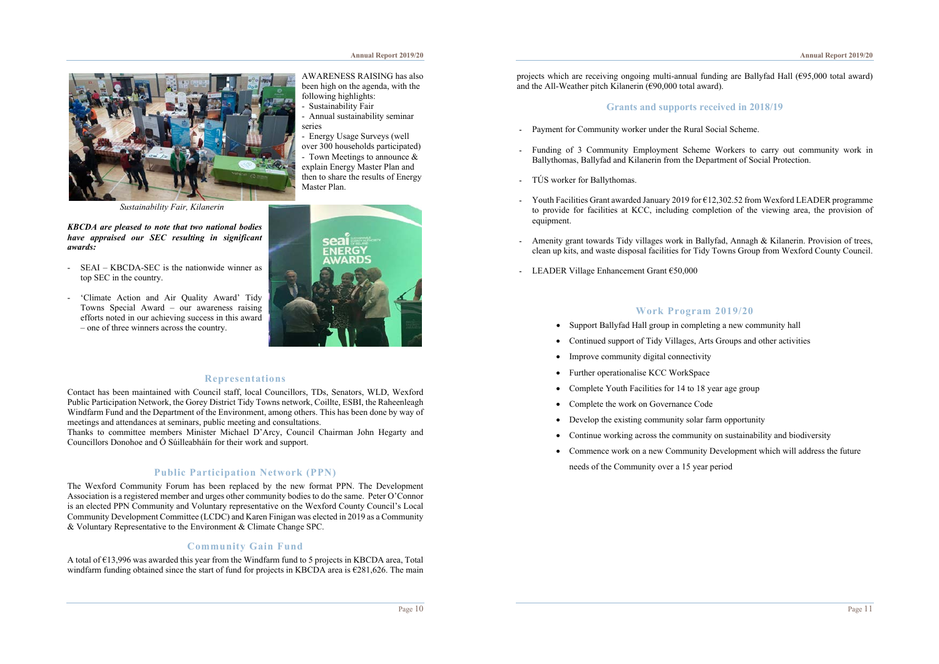#### **Annual Report 2019/20**



*Sustainability Fair, Kilanerin* 

*KBCDA are pleased to note that two national bodies have appraised our SEC resulting in significant awards:*

- SEAI KBCDA-SEC is the nationwide winner as top SEC in the country.
- 'Climate Action and Air Quality Award' Tidy Towns Special Award – our awareness raising efforts noted in our achieving success in this award – one of three winners across the country.

AWARENESS RAISING has also been high on the agenda, with the following highlights:

- Sustainability Fair

- Annual sustainability seminar series

- Energy Usage Surveys (well over 300 households participated) - Town Meetings to announce & explain Energy Master Plan and then to share the results of Energy Master Plan.



# **Representations**

Contact has been maintained with Council staff, local Councillors, TDs, Senators, WLD, Wexford Public Participation Network, the Gorey District Tidy Towns network, Coillte, ESBI, the Raheenleagh Windfarm Fund and the Department of the Environment, among others. This has been done by way of meetings and attendances at seminars, public meeting and consultations.

Thanks to committee members Minister Michael D'Arcy, Council Chairman John Hegarty and Councillors Donohoe and Ó Súilleabháín for their work and support.

# **Public Participation Network (PPN)**

The Wexford Community Forum has been replaced by the new format PPN. The Development Association is a registered member and urges other community bodies to do the same. Peter O'Connor is an elected PPN Community and Voluntary representative on the Wexford County Council's Local Community Development Committee (LCDC) and Karen Finigan was elected in 2019 as a Community & Voluntary Representative to the Environment & Climate Change SPC.

## **Community Gain Fund**

A total of €13,996 was awarded this year from the Windfarm fund to 5 projects in KBCDA area, Total windfarm funding obtained since the start of fund for projects in KBCDA area is £281,626. The main projects which are receiving ongoing multi-annual funding are Ballyfad Hall (€95,000 total award) and the All-Weather pitch Kilanerin  $(F90,000)$  total award).

# **Grants and supports received in 2018/19**

- Payment for Community worker under the Rural Social Scheme.
- Funding of 3 Community Employment Scheme Workers to carry out community work in Ballythomas, Ballyfad and Kilanerin from the Department of Social Protection.
- TÚS worker for Ballythomas.
- Youth Facilities Grant awarded January 2019 for  $\epsilon$ 12,302.52 from Wexford LEADER programme to provide for facilities at KCC, including completion of the viewing area, the provision of equipment.
- Amenity grant towards Tidy villages work in Ballyfad, Annagh & Kilanerin. Provision of trees, clean up kits, and waste disposal facilities for Tidy Towns Group from Wexford County Council.
- LEADER Village Enhancement Grant €50,000

# **Work Program 2019/20**

- Support Ballyfad Hall group in completing a new community hall
- Continued support of Tidy Villages, Arts Groups and other activities
- Improve community digital connectivity
- Further operationalise KCC WorkSpace
- Complete Youth Facilities for 14 to 18 year age group
- Complete the work on Governance Code
- Develop the existing community solar farm opportunity
- Continue working across the community on sustainability and biodiversity
- Commence work on a new Community Development which will address the future needs of the Community over a 15 year period